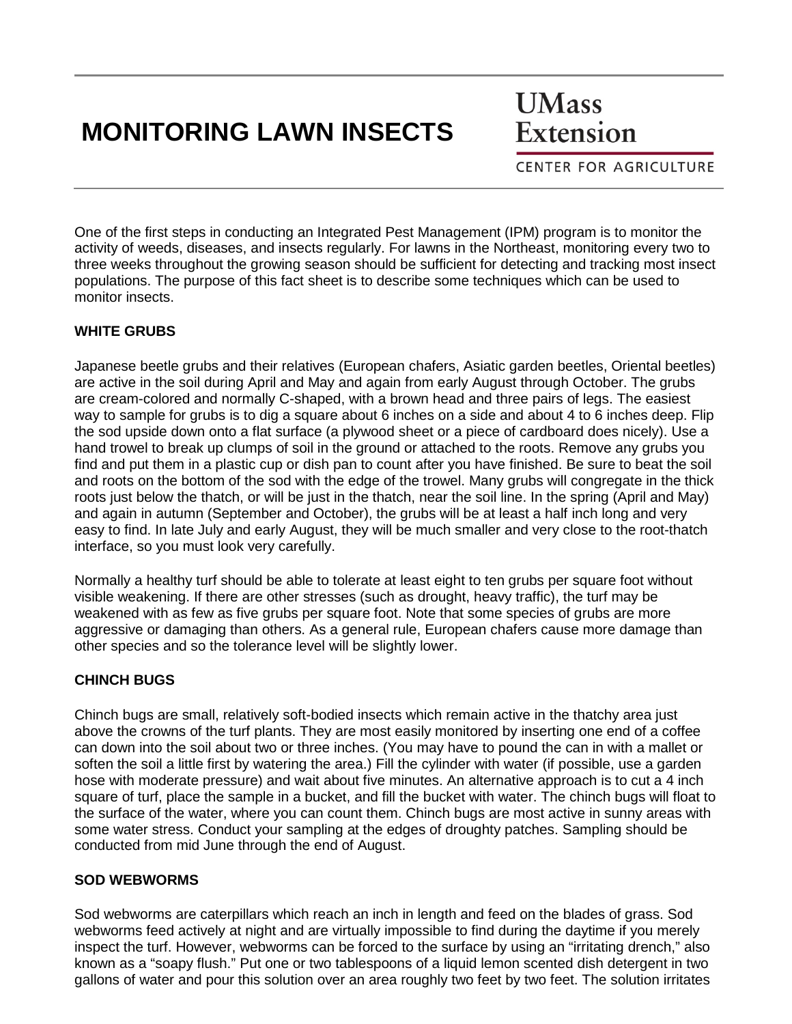# **MONITORING LAWN INSECTS**

**UMass** Extension

**CENTER FOR AGRICULTURE** 

One of the first steps in conducting an Integrated Pest Management (IPM) program is to monitor the activity of weeds, diseases, and insects regularly. For lawns in the Northeast, monitoring every two to three weeks throughout the growing season should be sufficient for detecting and tracking most insect populations. The purpose of this fact sheet is to describe some techniques which can be used to monitor insects.

#### **WHITE GRUBS**

Japanese beetle grubs and their relatives (European chafers, Asiatic garden beetles, Oriental beetles) are active in the soil during April and May and again from early August through October. The grubs are cream-colored and normally C-shaped, with a brown head and three pairs of legs. The easiest way to sample for grubs is to dig a square about 6 inches on a side and about 4 to 6 inches deep. Flip the sod upside down onto a flat surface (a plywood sheet or a piece of cardboard does nicely). Use a hand trowel to break up clumps of soil in the ground or attached to the roots. Remove any grubs you find and put them in a plastic cup or dish pan to count after you have finished. Be sure to beat the soil and roots on the bottom of the sod with the edge of the trowel. Many grubs will congregate in the thick roots just below the thatch, or will be just in the thatch, near the soil line. In the spring (April and May) and again in autumn (September and October), the grubs will be at least a half inch long and very easy to find. In late July and early August, they will be much smaller and very close to the root-thatch interface, so you must look very carefully.

Normally a healthy turf should be able to tolerate at least eight to ten grubs per square foot without visible weakening. If there are other stresses (such as drought, heavy traffic), the turf may be weakened with as few as five grubs per square foot. Note that some species of grubs are more aggressive or damaging than others. As a general rule, European chafers cause more damage than other species and so the tolerance level will be slightly lower.

#### **CHINCH BUGS**

Chinch bugs are small, relatively soft-bodied insects which remain active in the thatchy area just above the crowns of the turf plants. They are most easily monitored by inserting one end of a coffee can down into the soil about two or three inches. (You may have to pound the can in with a mallet or soften the soil a little first by watering the area.) Fill the cylinder with water (if possible, use a garden hose with moderate pressure) and wait about five minutes. An alternative approach is to cut a 4 inch square of turf, place the sample in a bucket, and fill the bucket with water. The chinch bugs will float to the surface of the water, where you can count them. Chinch bugs are most active in sunny areas with some water stress. Conduct your sampling at the edges of droughty patches. Sampling should be conducted from mid June through the end of August.

#### **SOD WEBWORMS**

Sod webworms are caterpillars which reach an inch in length and feed on the blades of grass. Sod webworms feed actively at night and are virtually impossible to find during the daytime if you merely inspect the turf. However, webworms can be forced to the surface by using an "irritating drench," also known as a "soapy flush." Put one or two tablespoons of a liquid lemon scented dish detergent in two gallons of water and pour this solution over an area roughly two feet by two feet. The solution irritates